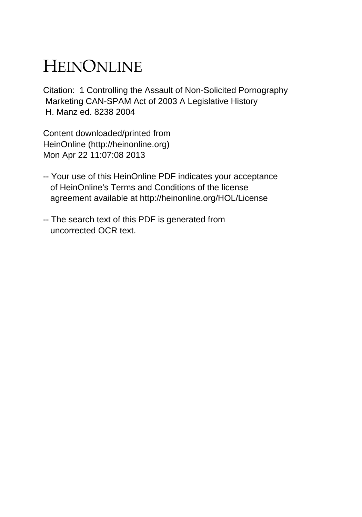# HEINONLINE

Citation: 1 Controlling the Assault of Non-Solicited Pornography Marketing CAN-SPAM Act of 2003 A Legislative History H. Manz ed. 8238 2004

Content downloaded/printed from HeinOnline (http://heinonline.org) Mon Apr 22 11:07:08 2013

- -- Your use of this HeinOnline PDF indicates your acceptance of HeinOnline's Terms and Conditions of the license agreement available at http://heinonline.org/HOL/License
- -- The search text of this PDF is generated from uncorrected OCR text.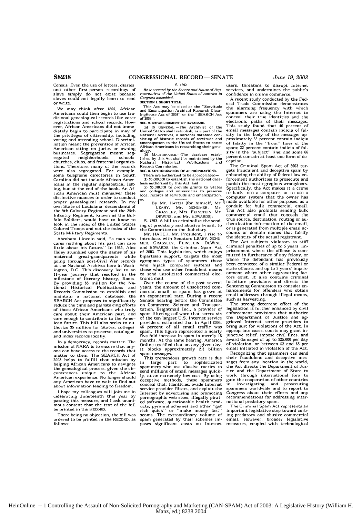ditional genealogical records like voter of 2003.<br>registrations and school records. How sec. RETABLIBIRMENT OF DATABASE. Helectronic paths of their messages.<br>ever, African Americans did not imme- (a) IN GENERAL.—The Archiv African Americans in researching their gene-<br>American siting on jurics or owning<br>African Americans in researching their gene-<br>spann, 22 percent contain indicts of fal-<br>businesses. Segregation meant seg-<br>(b) MAINTENANCE.—Th regated religiborhoods, schools, ished by this Act shall be maintained by the percent contain at least one form of do-<br>churches, clubs, and fraternal organiza- National Historical Publications and Ception.<br>tions. Therefore tions. Therefore, many of the records Records Commission. The Criminal Spam Act of 2003 tar-<br>were also segregated. For example, sec. a AUTHORIZATION OF APPROPENATIONS. gets fraudulent and deceptive spam by<br>some telephone d some telephone directories in South There are authorized to be appropriated-<br>Carolina did not include African Amer- (1) \$5,000,000 to establish the national dataicans in the regular alphabetical list-<br>ing, but at the end of the book. An Afing, but at the end of the book. An Af- (2) \$5,000,000 to provide grants to States Specifically, the Act makes it a crime<br>cican American must maneuver these local procedus and universities to preserve to hack into a comput distinctive nuances in order to conduct local records of servitude and emancipation. Conduct into a computer, or to use a<br>distinctive nuances in order to conduct local records of servitude and emancipation. Computer system  $\overline{p}$  proper genealogical research. In my  $\overline{p}$  By Mr. HATCH (for himself, Mr. made available for other purposes, as a a conduit for bulk commercial email. own State of Louisiana, descendants of LEAHY, Mr. SCHUMER, Mr. conduit for bulk commercial email.<br>
the 9th Calvary Regiment and the 25th GRASSLEY, Mrs. FEINSTEIN, Mr. The Act also prohibits sending bulk the 9th Calvary Regiment and the 25th<br>Infantry Regiment, known as the Buffalo Soldiers, would have to know to S. 1293. A bill to criminalize the send- true source, destination, routing or au-<br>look in the index of the United States ing of predatory and abusive e-mail; to thentication information Colored Troops and not the index of the the Committee on the Judiciary.<br>
State Military Regiments. Mr. HATCH. Mr. President, I rise to

Abraham Lincoln said, "a man who Introduce, with Senators LEAHY, SCHU-<br>Cares nothing about his past can care MER, GRASSLEY, FEINSTEIN, DEWINE, The Act subjects violators to stiff<br>little about his future." In 1965, Alex and national great-grandparents while bipartisan support, targets the most mitted in furtherance of any felony, or<br>going through post-Civil War records egregious types of spammers—those where the defendant has previously<br>at th It year journey that resulted in the use is million commercial electron exist. It also contains criminal<br>By providing \$5 million for the Na- Over the course of the past several forfeiture provisions and directs the<br>thoal H tional Historical Publications and years, the amount of unsolicited com-<br>Records Commission to establish and mercial email, or spam, has grown at<br>maintain a national database, the an exponential rate. During a recent reduce the time and painstaking efforts on Commerce. Science and Transpor-<br>of those African Americans who truly tation. Brightmail Inc., a provider of

one can have access to the records that contain the secognizing that spammers can send<br>matter to them. The SEARCH Act of Spam messages.<br>2003 helps to fulfill that mission by This tremendous growth rate is due their fraudul the genealogical process, given the cir- spammers who use abusive tactics to the Act directs the Department of Jus-<br>the genealogical process, given the cir- spammers who use abusive tactics to the Act directs the Departmen cumstances unique to the African send millions of email messages quick- tice and the Department of State to<br>American experience. No longer should ly, at an extremely low cost. By using work through international fora to

slave simply do not exist because *resentatives of the United States of America in* confidence in online commerce.<br>Slaves could not legally learn to read *Congress assembled*, and the coent study conducted by the Fed-

diately begin to participate in may of United States shall establish, as a part of the email messages contain indicia of fal-<br>the privileges of citizenship, including National Archives, a national database con-sity in the nation meant the prevention of African emancipation and archives, a national database con-<br>in the body of the message: ap-<br>voting and attending school. Discrimition in the United States to assist of falsity in the body of

Abraham Lincoln said, "a man who introduce, with Senators LEAHY, SCHU-<br>cares nothing about his past can care MER, GRASSLEY, FEINSTEIN, DEWINE, The Act subjects violators to stiff<br>little about his future." In 1965, Alex and

years, the amount of unsolicited com- Sentencing Commission to consider en-<br>mercial email, or spam, has grown at hancements for offenders who obtain<br>an exponential rate. During a recent, email addresses through illegal mea maintain a national database, the an exponential rate. During a recent email addresses the SEARCH Act proposes to significantly Senate hearing before the Committee such as harvesting. Senate hearing before the Committee such as harvesting.<br>on Commerce, Science and Transpor- The strong deterrent effect of the reduce the time and painstaking enores for commerce, screene and Transportant americans further enhanced by civil<br>of those African Americans who truly tation, Brightmail Inc., a provider of legislation is further enhanced examed bout their American past, and spam filtering software that serves six enforcement provisions that authorize<br>care about their American past, and spam filtering software that serves in the Department of Justice and ag eare about the contribute to the American of the ten largest U.S. Internet service the Department of Justice and ag-<br>ican future. This bill also seeks to au-providers, estimated that in April 2003, grieved Internet service Exame universities to preserve, catalogue, in providers, estimated that in April 2003, grieved Internet service providers to thorize \$5 million for States, colleges, 46 percent of all email traffic was bring suit for viola and universities to preserve, catalogue, spam. This figure represented a nearly appropriate cases, courts may grant in-<br>and index records locally five fold increase in sparn in merely 18 junctive relief, impose civil fines In a democracy, records matter. The months. At the same hearing, America award damages of up to \$25,000 per day In a democracy, records matter. The<br>mission of NARA is to ensure that any understanding that on any given day, of violation, or between \$2 and \$8 per<br>one can have access to the records that it blocks approximately 2.3 bill

American experience, wo ronger should deceptive methods, these spammers<br>any American have to wait to find out deceptive methods, these spammers<br>about information leading to freedom. any American have to wait to find out<br>
conceal their identities, evade Internet in investigating and prosecuting<br>
about information leading to freedom.<br>
I hope my colleagues will join me in Internet by advertising and prom elebrating Juneteenth this year by pernographic web sites, illegally pirat-<br>recommendations for addressing inter-<br>mous consent that the text of the bill ucts, pyramids scheme and the product of the bill ucts, illegally pir

Census. Even the use of letters, diaries, **S. 1292** users, threatens to disrupt Internet and other first-person recordings of *Be it enacted by the Senate and House of Rep*- services, and undermines the public's and other first-person recordings of *Be* it *enacted by the Senate and* **House** *of Rep-* services, and undermines the public's

SECTION 1. SEGREE CONDITIES.<br>
This Act may condition is the communistion demonstrates<br>
We may think after 1865, African and Emancipation Archival Research Clear-<br>
We may think after 1865, African and Emancipation Archival

(i) \$5,000,000 to establish the national data- forcement authorities to prosecute and base authorized by this Act: and<br>
(2) \$5,000,000 to provide grants to States Specifically, the Act makes it a crime<br>
(2) \$5,000,000 to p Infantry Regiment, known as the Buf-<br>Infantry Regiment, known as the Buf-<br>falo Soldiers, would have to know to **S.** 1293. A bill to criminalize the send- true source, destination, routing or au-State Military Registers Military Counts- or domain names that falsify the identity of the actual registrant.

actually example in the state of the set of the set of the state of the state of the state of the state of the state of the state of the state of the state of the state of the set of the set of the set of the set of the se

send millions of email messages quick- tice and the Department of State to ly, at an extremely low cost. By using work through international fora to

There being no objection, the bill was scams. The extraordinary volume of ing predatory and abusive commercial<br>ordered to be printed in the RECORD, as spam generated by their schemes im-<br>follows: however, broader legislati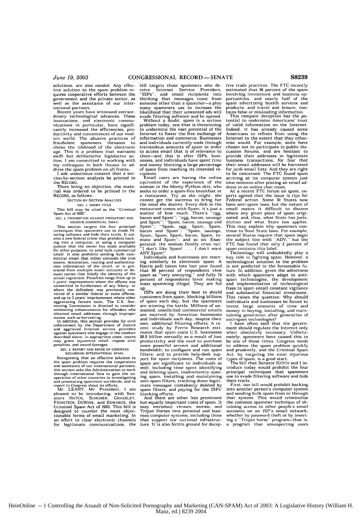solutions, are also needed. Any effec-<br>tive solution to the spam problem re-<br>quires cooperative efforts between the government and the private sector, as well as the assistance of our international partners.

Recent years have witnessed extraor-<br>dinary technological advances. These dinary technological advances. These innovations, and electronic commu-nications in particular, have signifi-cantly increased the efficiencies, productivity and conveniences of our modern world. The abusive practices of fraudulent spammers threaten to fraudulent spammers threaten to choke the lifeblood of the electronic age. This is a problem that warrants swift but deliberative legislative ac-<br>tion. I am committed to working with my colleagues in both Houses to address the spam problem on all fronts. I ask unanimous consent that a sec-

tion-by-section analysis be printed in

there being no objection, the material was ordered to be printed in the RECORD, as follows:

**SECTION-BY-SECTION ANALYSIS SEC. I.** SHORT TITLE

This bill may be cited as the 'Criminal Spam Act of **2003"**

**SEL.** 2. PROHIBITION AGAINST PREDATORY **AND ABUSIVE** COMMERCIAL EMAIL

This section targets the four principal<br>techniques that spammers use to evade fil-<br>tering software and hide their trails. It cre-<br>ates a new federal crime that prohibits hacking into a computer, or using a computer system that the owner has made available for other purposes, to send bulk commercial cmail. It also prohibits sending bulk com-<br>mercial email that either conceals the true<br>source, destination, routing and authentica-<br>tion information of the email, or is gen-<br>erated from multiple email accounts or do-<br>main **5** years' imprisonment where the offense was committed In furtherance of any felony. or where the defendant was previously **con** victed of a similar federal or state offense, and up to **3** years' imprisonment where other aggravating factors exist. The **U.S.** Sen-tencing Commission is directed to consider sentencing enhancements for offenders who obtained email addresses through improper

means, such as harvesting. In addition, this section provides for **civil** enforcement **by** the Department of Justice and aggrieved Internet service providers against spammers who engage in the conduct described above. In appropriate cases, courts may grant injunctive relief, impose civil penalties, and award damages.

### **SEC. 3.** REPORT **AND SENSE OF CONGRESS** REGARDING **INTERNATIONAL** SPAM.

Recognizing that an effective solution to<br>the spam problem requires the cooperation<br>and assistance of our international partners. this section asks the Administration to work through international fora to gain the **co-** operation of other countries in investigating

per and prosecuting spammers worldwide, and to<br>report to Congress about its efforts.<br>Mr. LEAHY. Mr. President, 1 am<br>pleased to be introducing, with Sen-<br>ators HATCH, SCHUMER, GRASSLEY, FEINSTEIN, BEITHDELLING, CRASSLEY, FEINSTEIN, DEWINE, and EDWARDS, the Criminal Spam Act of **2003.** This bill is designed to counter the most objectionable forms of email marketing. In an effort to clear electronic channels for legitimate communications, the

ceive Internet Service Providers, estimated that 96 percent of the spam<br>"ISPs", and email recipients into involving investment and business op-<br>thinking that messages come from portunities, and nearly half of the Finiting that messages come from portunities, and nearly half of the<br>thinking that messages come of poy spam advertising health services and<br>many spammers use to increase the products, and travel and leisure con-<br>many spam likelihood that their unwanted ads will

to undermine the vast potential of the Indeed. it has already caused some<br>Internet to foster the free exchange of Americans to refrain from using the Internet to foster the free exchange of Americans to refrain from using the information and commerce. Businesses Internet to the extent that they otherand individuals currently wade through wise would. For example, some have tremendous amounts of spam in order chosen not to pacticipate in public dis-<br>to access email that is of relevance to cussion forums, and are hesitan to access email that is of relevance to cussion forums, and are hesitant to<br>them—and this is after ISPs, busi- provide their addresses in legitimate<br>nesses, and individuals have spent time business transactions, for fear t and money blocking a large percentage their email addresses will be harvested<br>of spam from reaching its intended re- for junk email lists. And they are right

equivalent of the experience of the nine minutes after posting an email ad-<br>woman in the Monty Python skit, who dress in an online chat room.<br>seeks to order a spam-free breakfast at At a recent FTC forum on spam, exseeks to order a spam-free breakfast at the a recent FTC forum on spam, ex-<br>a restaurant. Try as she might, she perts agreed that the issue is ripe for<br>cannot get the waitress to bring her Federal action. Some 30 States no a cannot get the waitress to bring her Pederal action. Some 30 States now<br>the meal she desires. Every dish in the have anti-spam laws, but the nature of<br>restaurant comes with Spam; it's just a email makes it difficult to d Frequency considers the space of space in the constant comes with Spam; it's just a cmail makes it difficult to discern<br>matter of how much. There's "cgg, where any given piece of spam origi-<br>bacon and Spam"; "ggg, bacon, s bacon and Spam"; "Spam, sausage, tinue to flout State laws. For example,<br>Spam, Spam, Spam, bacon, Spam, to- several States require that spam begin perated, the woman finally cries out: FTC has found that only **2** percent of "I don't like Spam! **... I** don't want spam contains this label.

ing similarly to electronic spam. A<br>Harris poll taken late last year found Figure 1. For variance that  $80$  percent of respondents view<br>spam as "very annoying," and fully  $74$ <br>percent of respondents favor making<br>mass spamming illegal. They are fed mass spamming illegal. They are **fed** and implementation of technological

customers from spam, blocking billions This raises the question: Why should<br>of spam each day, but the spammers individuals and businesses be forced to of spam each day, but the spammers individuals and businesses be forced to are winning the battle. Millions of un- invest large amounts of time and are winning the battle. Millions of un- invest large amounts of time and<br>wanted, unsolicited commercial emails money in buying, installing, and mainare received by American businesses taining generation after generation **of** are received by American businesses<br>and individuals each day, despite their<br>own, additional filtering efforts. A re-<br>cent study by Ferris Research estiown, additional filtering efforts. A re- I have often said that the governcent study by Ferris Research esti- ment should regulate the Internet only mates that spam costs U.S. businesses when absolutely necessary. Unfortu-\$8.9 billion annually as a result of lost nately, spammers have caused this to productivity and the need to purchase be one **of** those times. Congress needs productivity and the need to purchase be one of those times. Congress needs<br>more powerful servers and additional to address the spam problem quickly<br>bandwidth; to configure and run spam and prudently, and the Criminal Spam bandwidth; to configure and run spam filters; and to provide help-desk sup- Act, by targeting the most injurious filters; and to provide help-desk support for spam recipients. The costs of spam are significant to individuals as span are significant to individuals as The bill that Senator HATCH and I inwell, including time spent identifying troduce today would prohibit the four<br>and deleting spam, inadvertently open-principal techniques that spammers<br>ing spam, installing and maintaining use to evade filtering software and mate messages mistakenly deleted by spam filters, and paying for the ISPs'

From Horses into personal and busi-<br>Trojan Horses into personal and busi-<br>ness computer systems, including those

bill targets those spammers who de- tive trade practices. The FTC recently ceive Internet Service Providers, estimated that  $96$  percent of the spam products, and travel and leisure, contains false or misleading information.<br>This rampant deception has the po-

evade filtering software and be opened. This rampant deception has the po-<br> Without a doubt, spam is a serious tential to undermine Americans' trust<br>problem today, one that is threatening of valid information o inferred commerce. Business Internet to the extent that they other-<br>wise would. For example, some have concerned. The FTC found span from reaching its intended re-<br>for junk email lists. And they are right<br>to be concerned. The FTC found span<br>Email users are having the online arriving at its computer system just<br>equivalent of

several States require that spam begin<br>the subject line with "ADV," but the<br>FTC has found that only 2 percent of

Fraction the woman immary trees out. The mass todino that only a percent of  $\Gamma$  don't like Spam!'<br>ANY Spam!' Technology will undoubtedly play a Individuals and businesses are react- key role in fighting spam. However, a Harris poll taken late last year found is not predicted In the foreseeable fu-that **80** percent of respondents view ture. In addition, given the adroitness spam as "very annoying," and fully 74 with which spammers adapt to antiup.<br> **up.**<br> **up**<br> **up**<br> **up**<br> **up**<br> **up**<br> **up**<br> **up**<br> **up**<br> **up**<br> **up**<br> **up**<br> **up**<br> **up**<br> **up**<br> **up**<br> **up**<br> **up**<br> **up**<br> **up**<br> **up**<br> **up**<br> **up**<br> **up**<br> **up**<br> **up**<br> **up**<br> **up**<br> **up**<br> **up**<br> **up**<br> **up**<br> **up**<br> **up**<br> **up**<br> **up**<br>

mate messages mistakenly deleted by First, our bill would prohibit hacking into another person's computer system<br>and sending bulk spam from or through blocking efforts. There are other less prominent that system. And there are other less prominent that system. This would criminalize<br>but equally important costs of spam. It the common spammer technique of obthe common spammer technique of obtaining access to other people's email accounts on an ISP's email network, response computer systems, including those whether by password theft or by insert-<br>that support our national infrastruc- ing a "Trojan horse" program-that is<br>ture. It is also fertile ground for decep- a program that unsusp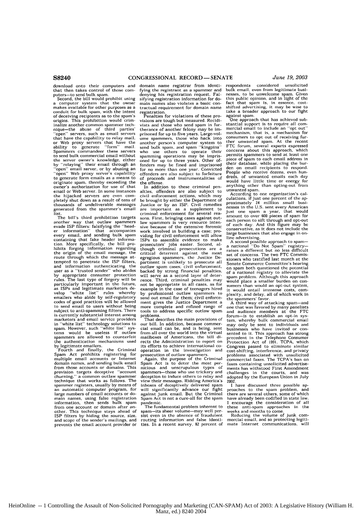download onto their computers and that then takes control of those computers—to send bulk spam.<br>Second, the bill would prohibit using

a computer system that the owner makes available for other purposes as a conduit for bulk spam, with the intent of deceiving recipients as to the spam's origins. This prohibition would criminalize another common spammer technique-the abuse of third parties' "open" servers, such as email servers that have the capability to relay mail, or Web proxy servers that have the<br>ability to generate "form" mail. Spammers commandeer these servers to send bulk commercial email without the server owner's knowledge, either<br>by "relaying" their email through an by "relaying" their email through an<br>"open" Web proxy server's capability<br>to generate form emails as a means to to generate form emails as a means to originate span, thereby exceeding the owner's authorization for use of that email or Web server. In some instances the hijacked servers are even completely shut down as a result of tens of thousands of undeliverable messages generated from the spammer's email list.

The bill's third prohibition targets another way that outlaw spammers evade ISP filters: falsifying the "head-er information" that accompanies evalue for meets, talking the media<br>er information'' that accompanies<br>every email, and sending bulk spam containing that fake header information. More specifically, the bill prohibits forging Information regarding the origin of the email message, the route through which the message attempted to penetrate the **ISP** filters, and Information authenticating the user as a "trusted sender" who abides by appropriate consumer protection by expression and the last type of forgory will be<br>particularly important in the future,<br>as ISPs and legitimate marketers de-<br>velop "white list" rules whereby<br>emailers who abide by self-regulatory<br>codes of good practices w to send email to users without being<br>subject to anti-spamming filters. There is currently substantial interest among marketers and email service providers in "white list" technology solutions to spare. However. such "white list" sys-tems would be useless If outlaw spammers are allowed to counterfeit the authentication mechanisms used

by legitimate emailers.<br>Fourth and finally, the Criminal Spam Act prohibits registering for multiple email accounts or domain names, and sending bulk email from those accounts or domains. This provision targets deceptive "account provision targets deceptive "account<br>churning," a common outlaw spammer technique that works as follows. The spammer registers, usually by means of an automatic computer program, for large numbers of email accounts or domain names, using false registration information, then sends bulk span from one account or domain after **an**other. This technique stays ahead of ISP filters by hiding the source, size, and scope of the sender's mailings, and prevents the email account provider or

domain name registrar from identifying the registrant as a spammer and denying his registration request. Falsifying registration information for domain names also violates a basic contractual requirement for domain name

registration. Penalties for violations of these provisions are tough but measured. Recidivists and those who send spam in fur-<br>therance of another felony may be imprisoned for up to five years. Large-volume spammers, those who hack Into another person's computer system to<br>send bulk spam, and spam "kingpins"<br>who use others to operations may be impris-<br>spamming operations may be imprisoned for up to three years. Other offenders may be fined and imprisoned for no more than one year. Convicted offenders are also subject to forfeiture of proceeds and instrumentalities of

the offense. In addition to these criminal penalties, offenders are also subject to civil enforcement actions, which may be brought by either the Department of Justice or by an ISP. Civil remedies<br>are important as a supplement to criminal enforcement for several reasons. First, bringing cases against out-<br>law spammers is very resource intensive because of the extensive forensic work involved in building a case: providing for civil enforcement will allow ISPs to assemble evidence to make prosecutors' jobs easier. Second, al-though criminal prosecutions are a critical deterrent against the most egregious spammers, the Justice Department is unlikely to prosecute all outlaw span cases; civil enforcement, backed by strong financial penalties, will serve as a second layer of deterrence. Third, criminal penalties may not be appropriate In all cases, as for example in the case of teenagers hired by professional outlaw spammers to<br>send out email for them: civil enforcement gives the Justice Department a complete and refined range of tools to address specific outlaw spam problems. That describes the main provisions of

our bill. In addition, because commercial email can be, and is being, sent from all over the world into the virtual mailboxes of Americans, the bill **di**rects the Administration to report on its efforts to achieve international co-operation in the investigation and

prosecution of outlaw spammers. Again, the purpose of the Criminal Spam Act is to deter the most per-nicious and unscrupulous types of spammers-those who use trickery and deception to induce others to relay and view their messages. Ridding America's inboxes of deceptively delivered spam will significantly advance our fight<br>against junk email. But the Criminal<br>Spam Act is not a cure-all for the spam pandemic.

The fundamental problem inherent to I is the ambiental problem interest to<br>spam—its sheer volume—may well per-<br>sist even in the absence of fraudulent routing Information and false identi-ties. In a recent survey, 82 percent of

respondents considered unsolicited bulk email, even from legitimate businesses, to be unwelcome spam. Given<br>this public opinion, and in light of the<br>fact that spam is, in essence, cost-<br>shifted advertising, it may be wise to<br>take a broader approach to our fight take a broader approach to our fight<br>against spam.

One approach that has achieved sub-stantial support is to require all com-mercial email to include an "opt out" mechanism, that is, a mechanism for consumers to opt out of receiving further unwanted spar. At the recent FTC forum, several experts expressed concerns about this approach, which permits spammers to send at least one piece of sparn to each email address in their database, while placing the bur-den on email recipients to respond. People who receive dozens, even hun-dreds, of unwanted emails each day would have little time or energy for anything other than opting-out from

unwanted spare. According to one organization's cal-culations, if just one percent of the approximately 24 million small busi-<br>nesses in the U.S. sent every American just one spain a year, that would amount to over **600** pieces of spam for each person to sift through and opt-out of each day. And this figure may be conservative, as It does not include the large businesses that also engage in on-

line advertising. A second possible approach to spam-a national "Do Not Spam" registry-raises a different but no less difficult set of concerns. The two FTC Commis-sioners who testified last month at the Senate Commerce Committee's hearing on spam both questioned the potential of a national registry to alleviate the spam problem. Although this approach would place a smaller burden on consumers than would an opt-out system, it would entail immense costs, complexity, and delay, all of which work in the spammers' favor.

A third way of attacking spar-and one that was favored by many panelists and audience members at the FTC forum-is to establish an opt-in system, whereby bulk commercial email may only be sent to Individuals and businesses who have invited or consented to it. This approach has strong precedent in the Telephone Consumer Protection Act of 1991, TCPA, which Congress passed to eliminate similar cost-shifting, interference, and privacy problems associated with unsolicited commercial faxes. The TCPA's ban on faxes containing unsolicited advertisements has withstood First Amendment challenges in the courts, and was adopted by the European Union in July 2002.

I have discussed three possible approaches to the spare problem, and there are several others, some of which have already been codified in state law. have already been codified in state law.<br>I encourage the consideration of all these anti-span approaches in the

weeks and months to come.<br>Reducing the volume of junk com-<br>mercial email, and so protecting legitimate Internet communications, will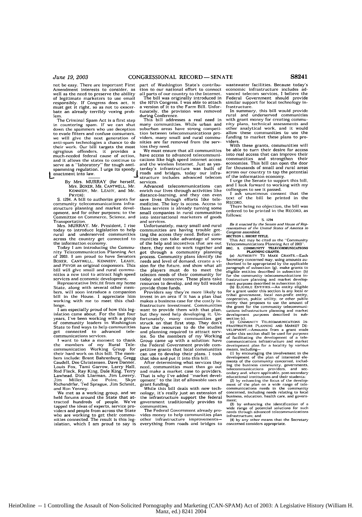not be easy. There are important First Amendment interests to consider, as well as the need to preserve the ability of legitimate marketers to use email responsibly. If Congress does act, It must get it right, so as not to exacerbate an already terribly vexing problem.

The Criminal Spam Act is a first step<br>in countering spam. If we can shut down the spammers who use deception<br>to evade filters and confuse consumers. we will give the next generation of anti-spam technologies a chance to do<br>their work. Our bill targets the most egregious offenders, it provides a much-needed federal cause of action, and it allows the states to continue to serve as a "laboratory" for tough antiserve as a "laboratory" for tough anti-<br>spamming regulation. I urge its speedy enactment into law.

> By Mrs. MURRAY (for herself, Mrs. BOXER, Ms. CANTWELL, Mr. KENNEDY, Mr. LEAHY, and Mr. PRYOR).

**S.** 1294. A bill to authorize grants for community telecommunications infrastructure planning and market development, and for other purposes; to the Committee on Commerce, Science, and Transportation.

Mrs. MURRAY. Mr. President, I rise today to introduce legislation to help rural and underserved communities across the country get connected to the information economy.

Today I am introducing the Commu- nity Telecommunication Planning Act **of** 2003. **1** am proud to have Senators BOXER, CANTWELL, **KENNEDY,** LEAHY. and PRYOR as original cosponsors. This bill will give small and rural communities a new tool to attract high speed services and economic development. Representative INSLEE from my home

State, along with several other members, will soon introduce a companion<br>bill in the House. I appreciate him in the House. I appreciate him working with me to meet this challenge.

I am especially proud of how this leg-islation came about. For the last four years, I've been working with a group of community leaders in Washington State to find ways to help communities get connected to advanced tele-communications services.

**I** want to take a moment to thank the members of my Rural Telecommunication Working Group for their hard work on this bill. The members include: Brent Bahrenburg, Gregg Caudell, Dee Christensen, Dave Danner, Louis Fox, Tami Garrow, Larry Hall, Rod Fleck, Ray King, Dale King, Terry Lawhead, Dick Llarman, Jim Lowery. Jim Miller. Joe Poire, Skye Richendrfer, Ted Sprague, Jim Schmit, and Ron Yenney. We met as a working group. and we held forums around the State that at-tracted hundreds of people. We've

tapped the ideas of experts, service pro- viders and people from across the State who are working to get their commu-nities connected. The result is this legislation, which I am proud to say

part of Washington State's contribution to our national effort to connect all parts of our country to the Internet. The bill was originally introduced In

the 107th Congress. I was able to attach a version of It to the Farm Bill. Unfortunately, the provision was removed<br>during Conference. during Conference.<br>during Conference.<br>This bill addresses a real need in

many communities. While urban and suburban areas have strong competi-<br>tion between telecommunications providers, many small and rural communities are far removed from the services they need. We must ensure that all communities

have access to advanced telecommunications like high speed Internet access and the wireless Internet. Just as yes-<br>terday's infrastructure was built of terday's infrastructure was built roads and bridges, today our infra-structure includes advanced telecom services.

Advanced telecommunications can enrich our lives through activities like distance-learning, and they can even save lives through efforts like **tele-** medicine. The key is access. Access to these services is already turning some<br>small companies in rural communities into international marketers of goods<br>and services.

and services. Unfortunately, many small and rural communities are having trouble get-ting the access they need. Before communities can take advantage of some of the help and incentives that are out there, they need to work together and got through a community planning process. Community plans identify the needs and level of demand, create a vision for the future, and show what all the players must do to meet the telecom needs of their community for today and tomorrow. These plans take resources to develop, and my bill would<br>provide those funds.

provide those funds. Providers say they're more likely to invest in an area if It has a plan that makes a business case for the costly infrastructure investment. Communities want to provide them with that plan, but they need help developing it. **Un**fortunately, many communities get struck on that first step. They don't have the resources to do the studies and planning required to attract serv-ice. So the members of my Working Group came up with a solution: have the Federal Government provide competitive grants that local communities can use to develop their plans. I took that idea and put It Into this bill.

After determining what services they need, communities must then go out and make a market case to providers. That is why I've added "market devel-opment" to the list of allowable uses of grant funding.<br>
While this bill deals with new tech-

nology, it's really just an extension of the infrastructure support the federal government traditionally provides to communities.

minimines.<br>The Federal Government already provides money to help communities plan<br>other infrastructure improvementseverything from roads and bridges to wastewater facilities. Because today's economic infrastructure includes ad-vanced telecom services, I believe the Federal Government should provide similar support for local technology infrastructure. In summary, this bill would provide

rural and underserved communities with grant money for creating community plans, technical assessments and<br>other analytical work, and it would other analytical work, and it would<br>allow these communities to use the<br>funding to market these plans to profunding to market these plans to pro- viders. With these grants, communities will

be able to turn their desire for access into real access that can improve their communities and strengthen their economies. This bill can open the door for thousands of small and rural areas across our country to tap the potential

of the information economy. **<sup>I</sup>**urge the Senate to support this bill, and I look forward to working with my colleagues to see it passed.<br> **I** ask unanimous consent that the

I ask unanimous consent that the<br>text of the bill be printed in the<br>RECORD

RECORD. There being no objection, the bill was ordered to be printed in the RECORD, as follows: **S.** <sup>1294</sup>

Be it enacted by the Senate and House of Representatives of the United States of America in *Congress assembled,* SECTION **1.** SHORT TITLE.

This Act may **be** cited as the "Community

Telecommunications Planning Act of 2003".<br>
SEC. 2 COMMUNITY TELECOMMUNICATIONS<br>
(a) AUTHORITY TO MAKE GRANTS.<br>
SECTED TO MARE GRANTS.<br>
SECTED TO MARE CRANTS.<br>
SECTED TO CUSPECT TO A USING THE SURFAINED PATHS<br>
paragraph of for the community telecommunications in-frastructure planning and market develop. ment purposes described in subsection (). **(b)** ELIGIBLE ENTITIES.-An entiy eligible

for a grant under this section is any local or tribal government, local eon-profit entity, cooperative, public utility, or other public entity that proposes to use the amount of the grant for the community telecommuni-cations infrastructure planning and market development purposes described in subsection (c).<br>section (c).<br>(c) COMMUNITY TELECOMMUNICATIONS IN-

(c) COMMUNITY TELECOMMUNICATIONS IN-<br>FRASTRUCTURE PLANNING AND MARKET DE-<br>VELOPMENT.—Amounts from a grant made<br>under this section shall be used for purposes<br>of facilitating the development of a tele-<br>communications infrast development plan for a locality by various

means, including—<br>(1) by encouraging the involvement in the<br>development of the plan of interested elements of the community concerned, includ-

more the business community, governments,<br>ing the business community, governments,<br>telecommunications providers, and sec-<br>ondary and, where applicable, post-secondary<br>educational institutions and their students;<br> $(2)$  by e

(3) by enhancing the identification of a wide range of potential solutions for such needs through advanced telecommunications infrastructure; and

(4) by any other means that the Secretary concerned considers appropriate.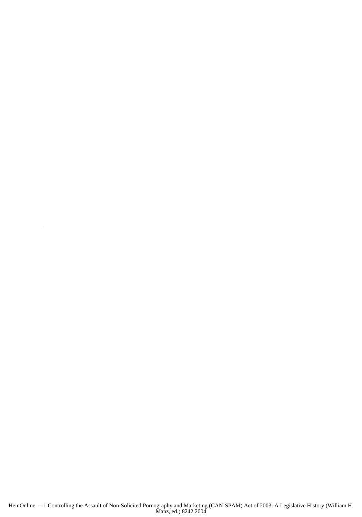HeinOnline -- 1 Controlling the Assault of Non-Solicited Pornography and Marketing (CAN-SPAM) Act of 2003: A Legislative History (William H. Manz, ed.) 8242 2004